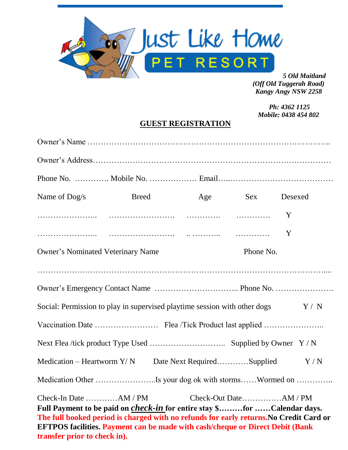

*5 Old Maitland (Off Old Tuggerah Road) Kangy Angy NSW 2258*

 *Ph: 4362 1125 Mobile: 0438 454 802*

# **GUEST REGISTRATION**

| Name of Dog/s                                                                   | <b>Breed</b>                                                                                                                                                                                                                                                      |           | Age Sex Desexed       |             |
|---------------------------------------------------------------------------------|-------------------------------------------------------------------------------------------------------------------------------------------------------------------------------------------------------------------------------------------------------------------|-----------|-----------------------|-------------|
|                                                                                 |                                                                                                                                                                                                                                                                   |           |                       |             |
|                                                                                 |                                                                                                                                                                                                                                                                   |           |                       | $\mathbf Y$ |
| <b>Owner's Nominated Veterinary Name</b>                                        |                                                                                                                                                                                                                                                                   | Phone No. |                       |             |
|                                                                                 |                                                                                                                                                                                                                                                                   |           |                       |             |
|                                                                                 |                                                                                                                                                                                                                                                                   |           |                       |             |
| Social: Permission to play in supervised playtime session with other dogs $Y/N$ |                                                                                                                                                                                                                                                                   |           |                       |             |
|                                                                                 |                                                                                                                                                                                                                                                                   |           |                       |             |
|                                                                                 |                                                                                                                                                                                                                                                                   |           |                       |             |
|                                                                                 | Medication – Heartworm $Y/N$ Date Next RequiredSupplied $Y/N$                                                                                                                                                                                                     |           |                       |             |
| Medication Other Is your dog ok with stormsWormed on                            |                                                                                                                                                                                                                                                                   |           |                       |             |
| Check-In Date AM / PM<br>transfer prior to check in).                           | Full Payment to be paid on <i>check-in</i> for entire stay \$for Calendar days.<br>The full booked period is charged with no refunds for early returns. No Credit Card or<br><b>EFTPOS facilities. Payment can be made with cash/cheque or Direct Debit (Bank</b> |           | Check-Out DateAM / PM |             |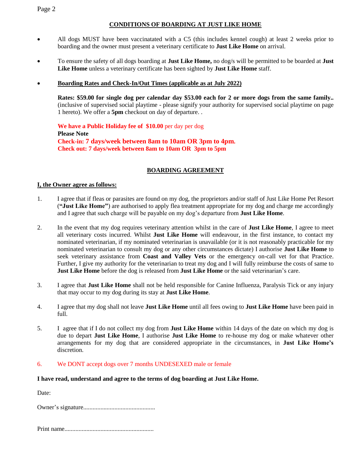### Page 2

### **CONDITIONS OF BOARDING AT JUST LIKE HOME**

- All dogs MUST have been vaccinatated with a C5 (this includes kennel cough) at least 2 weeks prior to boarding and the owner must present a veterinary certificate to **Just Like Home** on arrival.
- To ensure the safety of all dogs boarding at **Just Like Home,** no dog/s will be permitted to be boarded at **Just Like Home** unless a veterinary certificate has been sighted by **Just Like Home** staff.

### **Boarding Rates and Check-In/Out Times (applicable as at July 2022)**

**Rates: \$59.00 for single dog per calendar day \$53.00 each for 2 or more dogs from the same family..** (inclusive of supervised social playtime - please signify your authority for supervised social playtime on page 1 hereto). We offer a **5pm** checkout on day of departure. .

**We have a Public Holiday fee of \$10.00** per day per dog **Please Note Check-in: 7 days/week between 8am to 10am OR 3pm to 4pm. Check out: 7 days/week between 8am to 10am OR 3pm to 5pm**

## **BOARDING AGREEMENT**

#### **I, the Owner agree as follows:**

- 1. I agree that if fleas or parasites are found on my dog, the proprietors and/or staff of Just Like Home Pet Resort (**"Just Like Home"**) are authorised to apply flea treatment appropriate for my dog and charge me accordingly and I agree that such charge will be payable on my dog's departure from **Just Like Home**.
- 2. In the event that my dog requires veterinary attention whilst in the care of **Just Like Home**, I agree to meet all veterinary costs incurred. Whilst **Just Like Home** will endeavour, in the first instance, to contact my nominated veterinarian, if my nominated veterinarian is unavailable (or it is not reasonably practicable for my nominated veterinarian to consult my dog or any other circumstances dictate) I authorise **Just Like Home** to seek veterinary assistance from **Coast and Valley Vets** or the emergency on-call vet for that Practice. Further, I give my authority for the veterinarian to treat my dog and I will fully reimburse the costs of same to **Just Like Home** before the dog is released from **Just Like Home** or the said veterinarian's care.
- 3. I agree that **Just Like Home** shall not be held responsible for Canine Influenza, Paralysis Tick or any injury that may occur to my dog during its stay at **Just Like Home**.
- 4. I agree that my dog shall not leave **Just Like Home** until all fees owing to **Just Like Home** have been paid in full.
- 5. I agree that if I do not collect my dog from **Just Like Home** within 14 days of the date on which my dog is due to depart **Just Like Home**, I authorise **Just Like Home** to re-house my dog or make whatever other arrangements for my dog that are considered appropriate in the circumstances, in **Just Like Home's** discretion.
- 6. We DONT accept dogs over 7 months UNDESEXED male or female

#### **I have read, understand and agree to the terms of dog boarding at Just Like Home.**

Date:

Owner's signature..............................................

Print name.........................................................